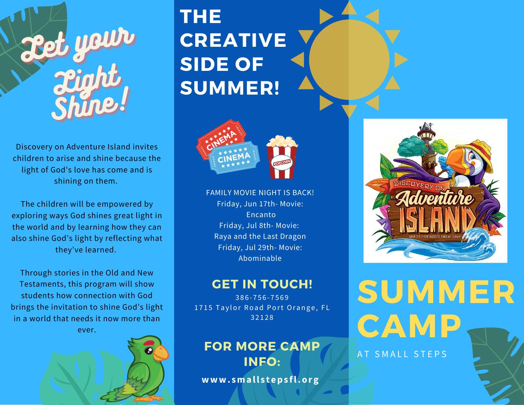

Discovery on Adventure Island invites children to arise and shine because the light of God's love has come and is shining on them.

The children will be empowered by exploring ways God shines great light in the world and by learning how they can also shine God's light by reflecting what they've learned.

Through stories in the Old and New Testaments, this program will show students how connection with God brings the invitation to shine God's light in a world that needs it now more than ever.



# **THE CREATIVE SIDE OF SUMMER!**



FAMILY MOVIE NIGHT IS BACK! Friday, Jun 17th- Movie: Encanto Friday, Jul 8th- Movie: Raya and the Last Dragon Friday, Jul 29th- Movie: Abominable

## **GET IN TOUCH!**

3 8 6 - 7 5 6 - 7 5 6 9 1715 Taylor Road Port Orange, FL 3 2 1 2 8

# **FOR MORE CAMP INFO:**

**www. small s t eps fl.org**



**SUMMER CAMP** AT SMALL STEPS